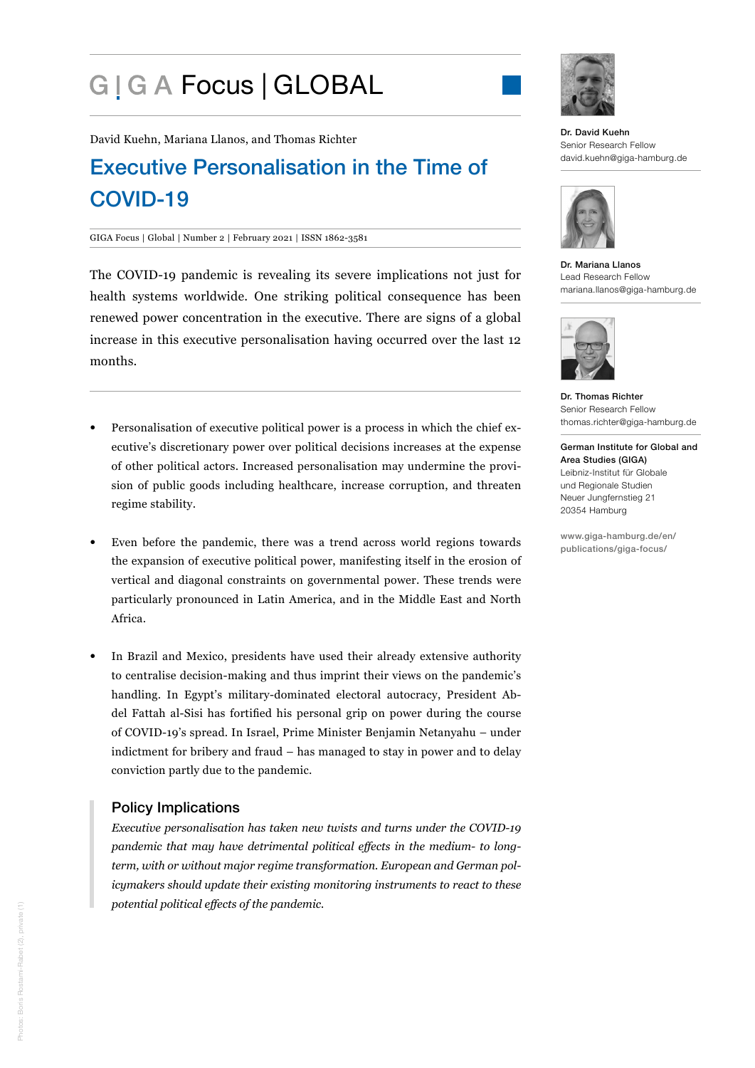# G | G A Focus | GLOBAL



David Kuehn, Mariana Llanos, and Thomas Richter

## Executive Personalisation in the Time of COVID-19

#### GIGA Focus | Global | Number 2 | February 2021 | ISSN 1862-3581

The COVID-19 pandemic is revealing its severe implications not just for health systems worldwide. One striking political consequence has been renewed power concentration in the executive. There are signs of a global increase in this executive personalisation having occurred over the last 12 months.

- Personalisation of executive political power is a process in which the chief executive's discretionary power over political decisions increases at the expense of other political actors. Increased personalisation may undermine the provision of public goods including healthcare, increase corruption, and threaten regime stability.
- Even before the pandemic, there was a trend across world regions towards the expansion of executive political power, manifesting itself in the erosion of vertical and diagonal constraints on governmental power. These trends were particularly pronounced in Latin America, and in the Middle East and North Africa.
- In Brazil and Mexico, presidents have used their already extensive authority to centralise decision-making and thus imprint their views on the pandemic's handling. In Egypt's military-dominated electoral autocracy, President Abdel Fattah al-Sisi has fortified his personal grip on power during the course of COVID-19's spread. In Israel, Prime Minister Benjamin Netanyahu – under indictment for bribery and fraud – has managed to stay in power and to delay conviction partly due to the pandemic.

## Policy Implications

*Executive personalisation has taken new twists and turns under the COVID-19 pandemic that may have detrimental political effects in the medium- to longterm, with or without major regime transformation. European and German policymakers should update their existing monitoring instruments to react to these potential political effects of the pandemic.*

Dr. David Kuehn Senior Research Fellow [david.kuehn@giga-hamburg.de](mailto:david.kuehn%40giga-hamburg.de?subject=)



Dr. Mariana Llanos Lead Research Fellow [mariana.llanos@giga-hamburg.de](mailto:mariana.llanos%40giga-hamburg.de?subject=)



Dr. Thomas Richter Senior Research Fellow [thomas.richter@giga-hamburg.de](mailto:thomas.richter%40giga-hamburg.de?subject=)

German Institute for Global and Area Studies (GIGA) Leibniz-Institut für Globale und Regionale Studien Neuer Jungfernstieg 21 20354 Hamburg

[www.giga-hamburg.de/en/](https://www.giga-hamburg.de/en/publications/giga-focus/) [publications/giga-focus/](https://www.giga-hamburg.de/en/publications/giga-focus/)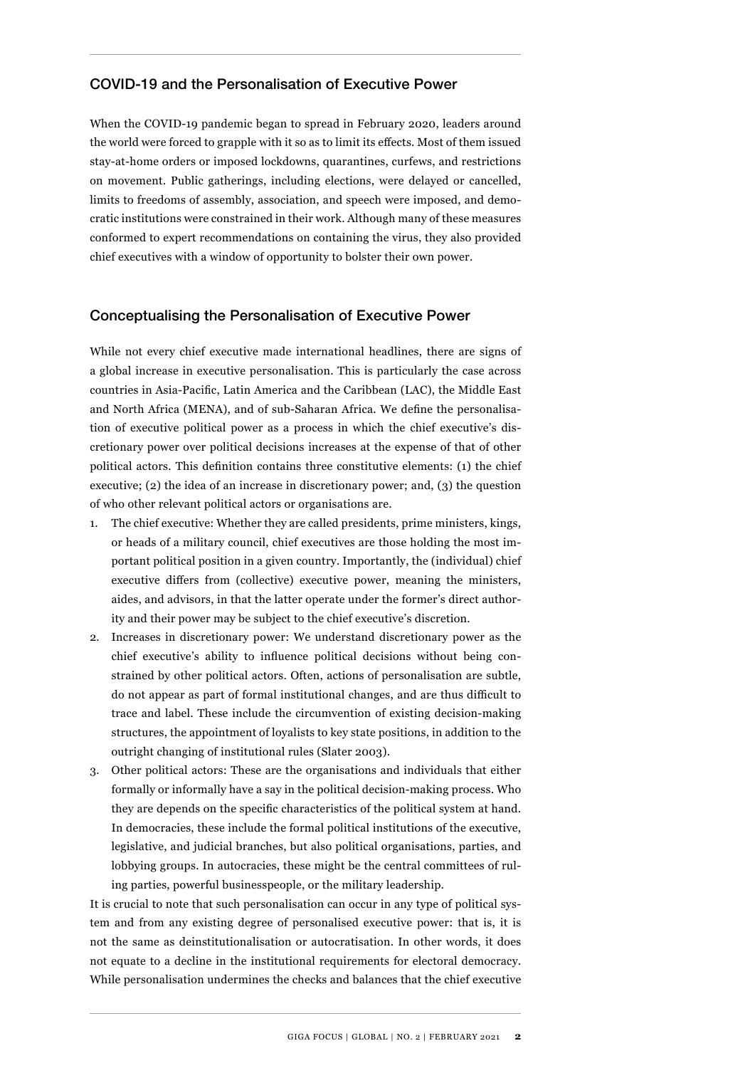## COVID-19 and the Personalisation of Executive Power

When the COVID-19 pandemic began to spread in February 2020, leaders around the world were forced to grapple with it so as to limit its effects. Most of them issued stay-at-home orders or imposed lockdowns, quarantines, curfews, and restrictions on movement. Public gatherings, including elections, were delayed or cancelled, limits to freedoms of assembly, association, and speech were imposed, and democratic institutions were constrained in their work. Although many of these measures conformed to expert recommendations on containing the virus, they also provided chief executives with a window of opportunity to bolster their own power.

#### Conceptualising the Personalisation of Executive Power

While not every chief executive made international headlines, there are signs of a global increase in executive personalisation. This is particularly the case across countries in Asia-Pacific, Latin America and the Caribbean (LAC), the Middle East and North Africa (MENA), and of sub-Saharan Africa. We define the personalisation of executive political power as a process in which the chief executive's discretionary power over political decisions increases at the expense of that of other political actors. This definition contains three constitutive elements: (1) the chief executive; (2) the idea of an increase in discretionary power; and, (3) the question of who other relevant political actors or organisations are.

- 1. The chief executive: Whether they are called presidents, prime ministers, kings, or heads of a military council, chief executives are those holding the most important political position in a given country. Importantly, the (individual) chief executive differs from (collective) executive power, meaning the ministers, aides, and advisors, in that the latter operate under the former's direct authority and their power may be subject to the chief executive's discretion.
- 2. Increases in discretionary power: We understand discretionary power as the chief executive's ability to influence political decisions without being constrained by other political actors. Often, actions of personalisation are subtle, do not appear as part of formal institutional changes, and are thus difficult to trace and label. These include the circumvention of existing decision-making structures, the appointment of loyalists to key state positions, in addition to the outright changing of institutional rules (Slater 2003).
- 3. Other political actors: These are the organisations and individuals that either formally or informally have a say in the political decision-making process. Who they are depends on the specific characteristics of the political system at hand. In democracies, these include the formal political institutions of the executive, legislative, and judicial branches, but also political organisations, parties, and lobbying groups. In autocracies, these might be the central committees of ruling parties, powerful businesspeople, or the military leadership.

It is crucial to note that such personalisation can occur in any type of political system and from any existing degree of personalised executive power: that is, it is not the same as deinstitutionalisation or autocratisation. In other words, it does not equate to a decline in the institutional requirements for electoral democracy. While personalisation undermines the checks and balances that the chief executive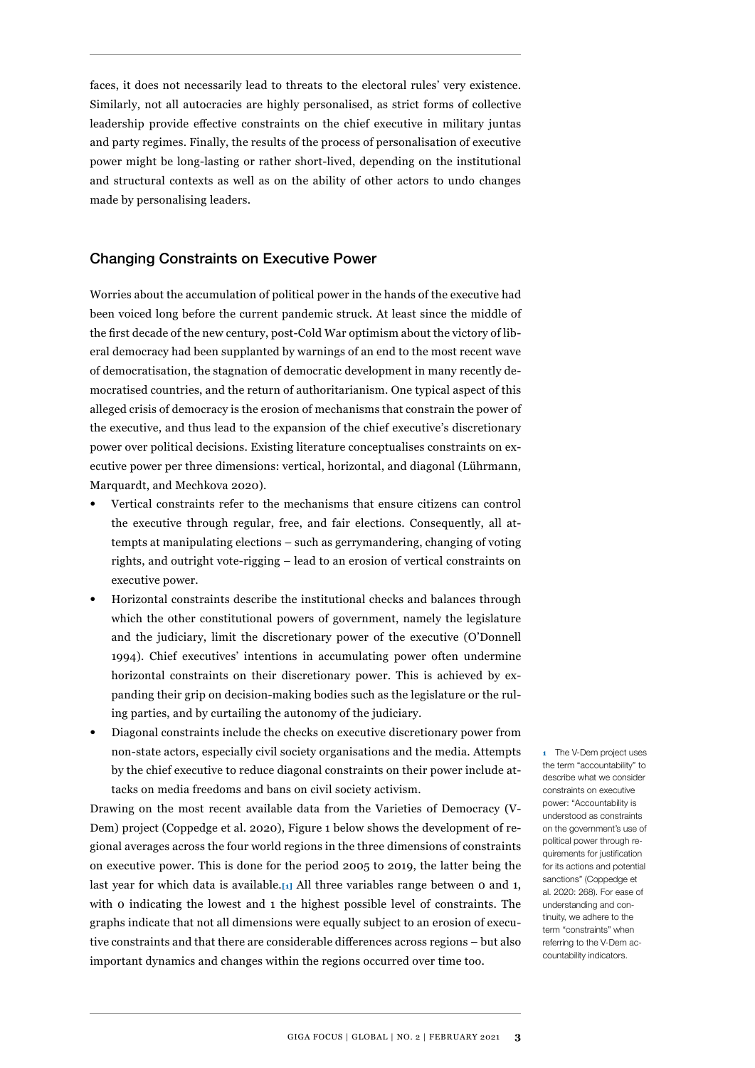faces, it does not necessarily lead to threats to the electoral rules' very existence. Similarly, not all autocracies are highly personalised, as strict forms of collective leadership provide effective constraints on the chief executive in military juntas and party regimes. Finally, the results of the process of personalisation of executive power might be long-lasting or rather short-lived, depending on the institutional and structural contexts as well as on the ability of other actors to undo changes made by personalising leaders.

## Changing Constraints on Executive Power

Worries about the accumulation of political power in the hands of the executive had been voiced long before the current pandemic struck. At least since the middle of the first decade of the new century, post-Cold War optimism about the victory of liberal democracy had been supplanted by warnings of an end to the most recent wave of democratisation, the stagnation of democratic development in many recently democratised countries, and the return of authoritarianism. One typical aspect of this alleged crisis of democracy is the erosion of mechanisms that constrain the power of the executive, and thus lead to the expansion of the chief executive's discretionary power over political decisions. Existing literature conceptualises constraints on executive power per three dimensions: vertical, horizontal, and diagonal (Lührmann, Marquardt, and Mechkova 2020).

- Vertical constraints refer to the mechanisms that ensure citizens can control the executive through regular, free, and fair elections. Consequently, all attempts at manipulating elections – such as gerrymandering, changing of voting rights, and outright vote-rigging – lead to an erosion of vertical constraints on executive power.
- Horizontal constraints describe the institutional checks and balances through which the other constitutional powers of government, namely the legislature and the judiciary, limit the discretionary power of the executive (O'Donnell 1994). Chief executives' intentions in accumulating power often undermine horizontal constraints on their discretionary power. This is achieved by expanding their grip on decision-making bodies such as the legislature or the ruling parties, and by curtailing the autonomy of the judiciary.
- Diagonal constraints include the checks on executive discretionary power from non-state actors, especially civil society organisations and the media. Attempts by the chief executive to reduce diagonal constraints on their power include attacks on media freedoms and bans on civil society activism.

Drawing on the most recent available data from the Varieties of Democracy (V-Dem) project (Coppedge et al. 2020), [Figure 1](#page-3-0) below shows the development of regional averages across the four world regions in the three dimensions of constraints on executive power. This is done for the period 2005 to 2019, the latter being the last year for which data is available.**[1]** All three variables range between 0 and 1, with 0 indicating the lowest and 1 the highest possible level of constraints. The graphs indicate that not all dimensions were equally subject to an erosion of executive constraints and that there are considerable differences across regions – but also important dynamics and changes within the regions occurred over time too.

**1** The V-Dem project uses the term "accountability" to describe what we consider constraints on executive power: "Accountability is understood as constraints on the government's use of political power through requirements for justification for its actions and potential sanctions" (Coppedge et al. 2020: 268). For ease of understanding and continuity, we adhere to the term "constraints" when referring to the V-Dem accountability indicators.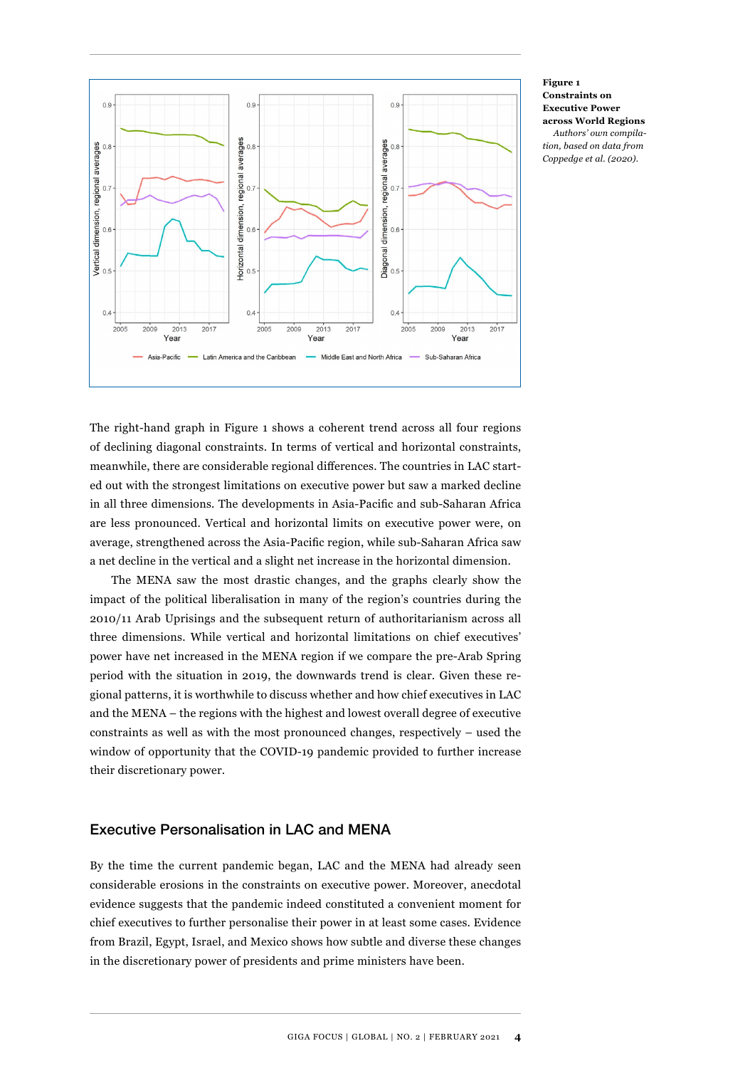

#### **Figure 1 Constraints on Executive Power across World Regions**

*Authors' own compilation, based on data from Coppedge et al. (2020).*

<span id="page-3-0"></span>The right-hand graph in Figure 1 shows a coherent trend across all four regions of declining diagonal constraints. In terms of vertical and horizontal constraints, meanwhile, there are considerable regional differences. The countries in LAC started out with the strongest limitations on executive power but saw a marked decline in all three dimensions. The developments in Asia-Pacific and sub-Saharan Africa are less pronounced. Vertical and horizontal limits on executive power were, on average, strengthened across the Asia-Pacific region, while sub-Saharan Africa saw a net decline in the vertical and a slight net increase in the horizontal dimension.

The MENA saw the most drastic changes, and the graphs clearly show the impact of the political liberalisation in many of the region's countries during the 2010/11 Arab Uprisings and the subsequent return of authoritarianism across all three dimensions. While vertical and horizontal limitations on chief executives' power have net increased in the MENA region if we compare the pre-Arab Spring period with the situation in 2019, the downwards trend is clear. Given these regional patterns, it is worthwhile to discuss whether and how chief executives in LAC and the MENA – the regions with the highest and lowest overall degree of executive constraints as well as with the most pronounced changes, respectively – used the window of opportunity that the COVID-19 pandemic provided to further increase their discretionary power.

## Executive Personalisation in LAC and MENA

By the time the current pandemic began, LAC and the MENA had already seen considerable erosions in the constraints on executive power. Moreover, anecdotal evidence suggests that the pandemic indeed constituted a convenient moment for chief executives to further personalise their power in at least some cases. Evidence from Brazil, Egypt, Israel, and Mexico shows how subtle and diverse these changes in the discretionary power of presidents and prime ministers have been.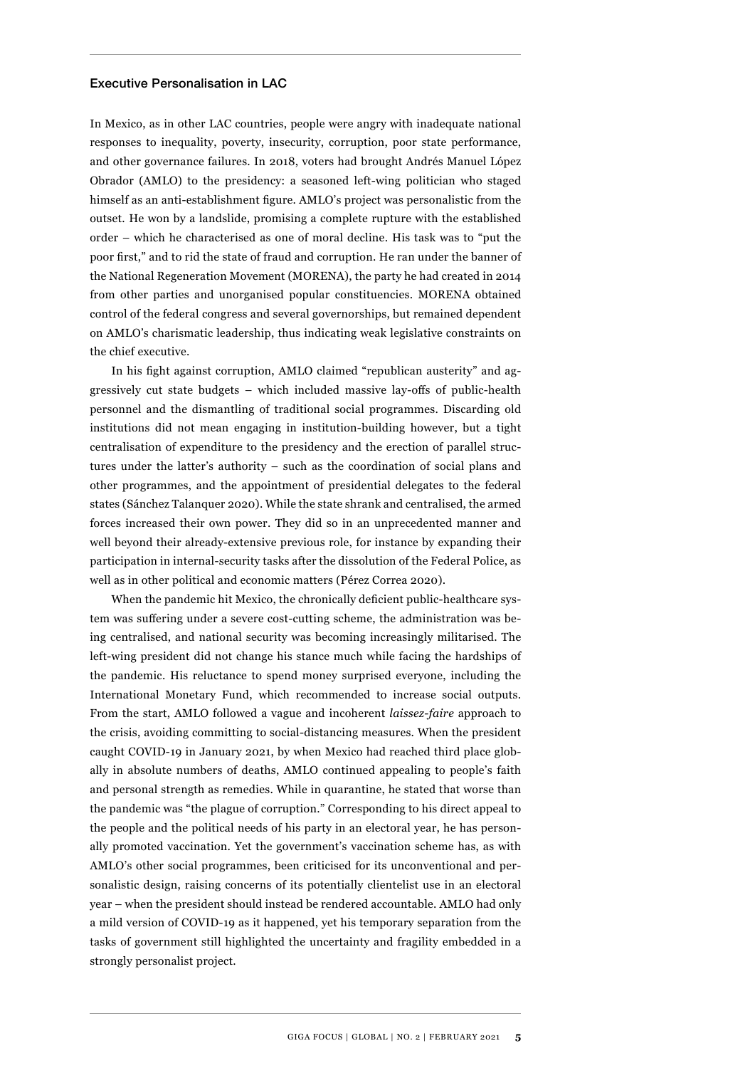#### Executive Personalisation in LAC

In Mexico, as in other LAC countries, people were angry with inadequate national responses to inequality, poverty, insecurity, corruption, poor state performance, and other governance failures. In 2018, voters had brought Andrés Manuel López Obrador (AMLO) to the presidency: a seasoned left-wing politician who staged himself as an anti-establishment figure. AMLO's project was personalistic from the outset. He won by a landslide, promising a complete rupture with the established order – which he characterised as one of moral decline. His task was to "put the poor first," and to rid the state of fraud and corruption. He ran under the banner of the National Regeneration Movement (MORENA), the party he had created in 2014 from other parties and unorganised popular constituencies. MORENA obtained control of the federal congress and several governorships, but remained dependent on AMLO's charismatic leadership, thus indicating weak legislative constraints on the chief executive.

In his fight against corruption, AMLO claimed "republican austerity" and aggressively cut state budgets – which included massive lay-offs of public-health personnel and the dismantling of traditional social programmes. Discarding old institutions did not mean engaging in institution-building however, but a tight centralisation of expenditure to the presidency and the erection of parallel structures under the latter's authority – such as the coordination of social plans and other programmes, and the appointment of presidential delegates to the federal states (Sánchez Talanquer 2020). While the state shrank and centralised, the armed forces increased their own power. They did so in an unprecedented manner and well beyond their already-extensive previous role, for instance by expanding their participation in internal-security tasks after the dissolution of the Federal Police, as well as in other political and economic matters (Pérez Correa 2020).

When the pandemic hit Mexico, the chronically deficient public-healthcare system was suffering under a severe cost-cutting scheme, the administration was being centralised, and national security was becoming increasingly militarised. The left-wing president did not change his stance much while facing the hardships of the pandemic. His reluctance to spend money surprised everyone, including the International Monetary Fund, which recommended to increase social outputs. From the start, AMLO followed a vague and incoherent *laissez-faire* approach to the crisis, avoiding committing to social-distancing measures. When the president caught COVID-19 in January 2021, by when Mexico had reached third place globally in absolute numbers of deaths, AMLO continued appealing to people's faith and personal strength as remedies. While in quarantine, he stated that worse than the pandemic was "the plague of corruption." Corresponding to his direct appeal to the people and the political needs of his party in an electoral year, he has personally promoted vaccination. Yet the government's vaccination scheme has, as with AMLO's other social programmes, been criticised for its unconventional and personalistic design, raising concerns of its potentially clientelist use in an electoral year – when the president should instead be rendered accountable. AMLO had only a mild version of COVID-19 as it happened, yet his temporary separation from the tasks of government still highlighted the uncertainty and fragility embedded in a strongly personalist project.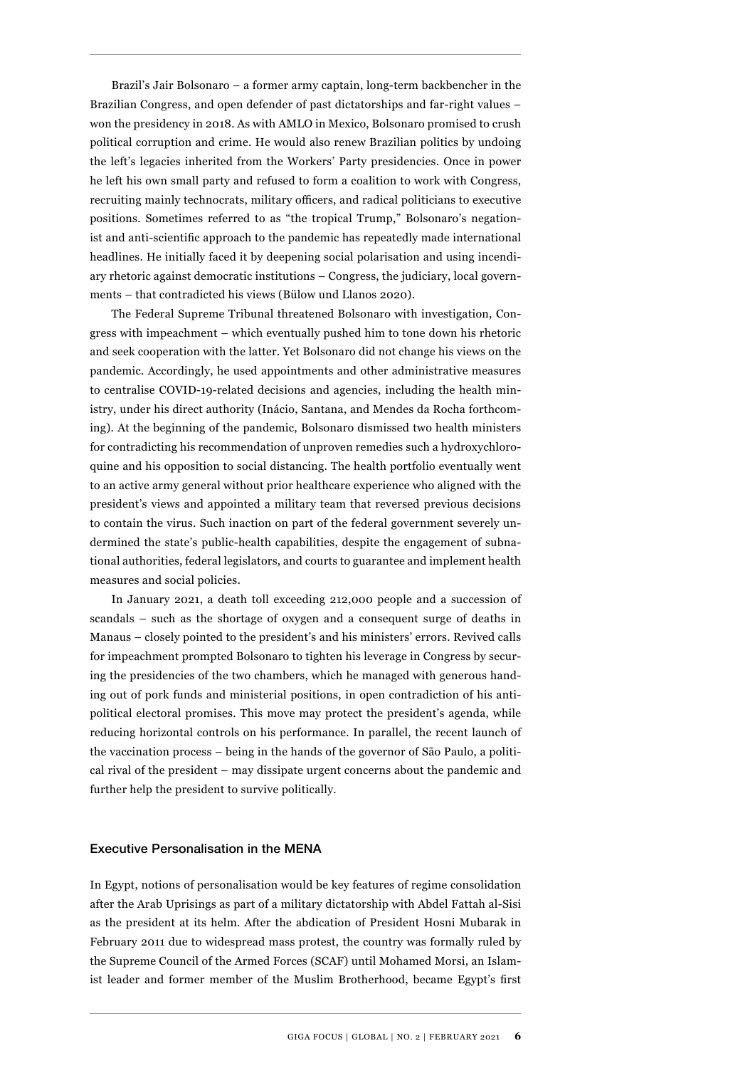Brazil's Jair Bolsonaro – a former army captain, long-term backbencher in the Brazilian Congress, and open defender of past dictatorships and far-right values – won the presidency in 2018. As with AMLO in Mexico, Bolsonaro promised to crush political corruption and crime. He would also renew Brazilian politics by undoing the left's legacies inherited from the Workers' Party presidencies. Once in power he left his own small party and refused to form a coalition to work with Congress, recruiting mainly technocrats, military officers, and radical politicians to executive positions. Sometimes referred to as "the tropical Trump," Bolsonaro's negationist and anti-scientific approach to the pandemic has repeatedly made international headlines. He initially faced it by deepening social polarisation and using incendiary rhetoric against democratic institutions – Congress, the judiciary, local governments – that contradicted his views (Bülow und Llanos 2020).

The Federal Supreme Tribunal threatened Bolsonaro with investigation, Congress with impeachment – which eventually pushed him to tone down his rhetoric and seek cooperation with the latter. Yet Bolsonaro did not change his views on the pandemic. Accordingly, he used appointments and other administrative measures to centralise COVID-19-related decisions and agencies, including the health ministry, under his direct authority (Inácio, Santana, and Mendes da Rocha forthcoming). At the beginning of the pandemic, Bolsonaro dismissed two health ministers for contradicting his recommendation of unproven remedies such a hydroxychloroquine and his opposition to social distancing. The health portfolio eventually went to an active army general without prior healthcare experience who aligned with the president's views and appointed a military team that reversed previous decisions to contain the virus. Such inaction on part of the federal government severely undermined the state's public-health capabilities, despite the engagement of subnational authorities, federal legislators, and courts to guarantee and implement health measures and social policies.

In January 2021, a death toll exceeding 212,000 people and a succession of scandals – such as the shortage of oxygen and a consequent surge of deaths in Manaus – closely pointed to the president's and his ministers' errors. Revived calls for impeachment prompted Bolsonaro to tighten his leverage in Congress by securing the presidencies of the two chambers, which he managed with generous handing out of pork funds and ministerial positions, in open contradiction of his antipolitical electoral promises. This move may protect the president's agenda, while reducing horizontal controls on his performance. In parallel, the recent launch of the vaccination process – being in the hands of the governor of São Paulo, a political rival of the president – may dissipate urgent concerns about the pandemic and further help the president to survive politically.

#### Executive Personalisation in the MENA

In Egypt, notions of personalisation would be key features of regime consolidation after the Arab Uprisings as part of a military dictatorship with Abdel Fattah al-Sisi as the president at its helm. After the abdication of President Hosni Mubarak in February 2011 due to widespread mass protest, the country was formally ruled by the Supreme Council of the Armed Forces (SCAF) until Mohamed Morsi, an Islamist leader and former member of the Muslim Brotherhood, became Egypt's first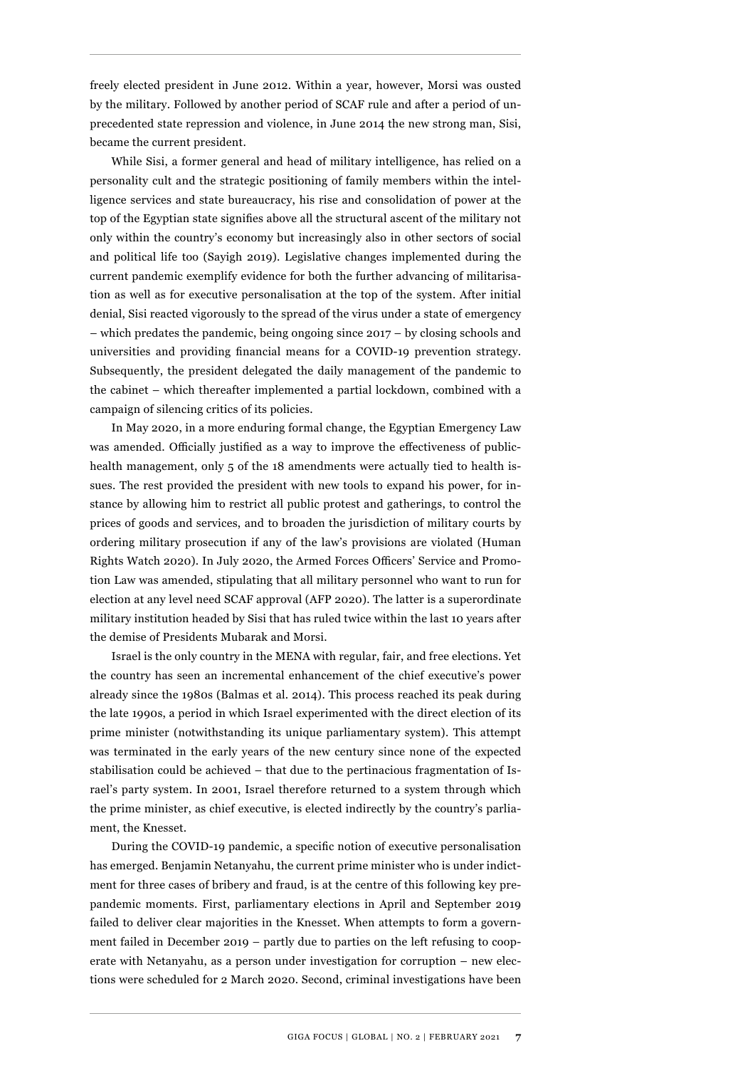freely elected president in June 2012. Within a year, however, Morsi was ousted by the military. Followed by another period of SCAF rule and after a period of unprecedented state repression and violence, in June 2014 the new strong man, Sisi, became the current president.

While Sisi, a former general and head of military intelligence, has relied on a personality cult and the strategic positioning of family members within the intelligence services and state bureaucracy, his rise and consolidation of power at the top of the Egyptian state signifies above all the structural ascent of the military not only within the country's economy but increasingly also in other sectors of social and political life too (Sayigh 2019). Legislative changes implemented during the current pandemic exemplify evidence for both the further advancing of militarisation as well as for executive personalisation at the top of the system. After initial denial, Sisi reacted vigorously to the spread of the virus under a state of emergency – which predates the pandemic, being ongoing since 2017 – by closing schools and universities and providing financial means for a COVID-19 prevention strategy. Subsequently, the president delegated the daily management of the pandemic to the cabinet – which thereafter implemented a partial lockdown, combined with a campaign of silencing critics of its policies.

In May 2020, in a more enduring formal change, the Egyptian Emergency Law was amended. Officially justified as a way to improve the effectiveness of publichealth management, only 5 of the 18 amendments were actually tied to health issues. The rest provided the president with new tools to expand his power, for instance by allowing him to restrict all public protest and gatherings, to control the prices of goods and services, and to broaden the jurisdiction of military courts by ordering military prosecution if any of the law's provisions are violated (Human Rights Watch 2020). In July 2020, the Armed Forces Officers' Service and Promotion Law was amended, stipulating that all military personnel who want to run for election at any level need SCAF approval (AFP 2020). The latter is a superordinate military institution headed by Sisi that has ruled twice within the last 10 years after the demise of Presidents Mubarak and Morsi.

Israel is the only country in the MENA with regular, fair, and free elections. Yet the country has seen an incremental enhancement of the chief executive's power already since the 1980s (Balmas et al. 2014). This process reached its peak during the late 1990s, a period in which Israel experimented with the direct election of its prime minister (notwithstanding its unique parliamentary system). This attempt was terminated in the early years of the new century since none of the expected stabilisation could be achieved – that due to the pertinacious fragmentation of Israel's party system. In 2001, Israel therefore returned to a system through which the prime minister, as chief executive, is elected indirectly by the country's parliament, the Knesset.

During the COVID-19 pandemic, a specific notion of executive personalisation has emerged. Benjamin Netanyahu, the current prime minister who is under indictment for three cases of bribery and fraud, is at the centre of this following key prepandemic moments. First, parliamentary elections in April and September 2019 failed to deliver clear majorities in the Knesset. When attempts to form a government failed in December 2019 – partly due to parties on the left refusing to cooperate with Netanyahu, as a person under investigation for corruption – new elections were scheduled for 2 March 2020. Second, criminal investigations have been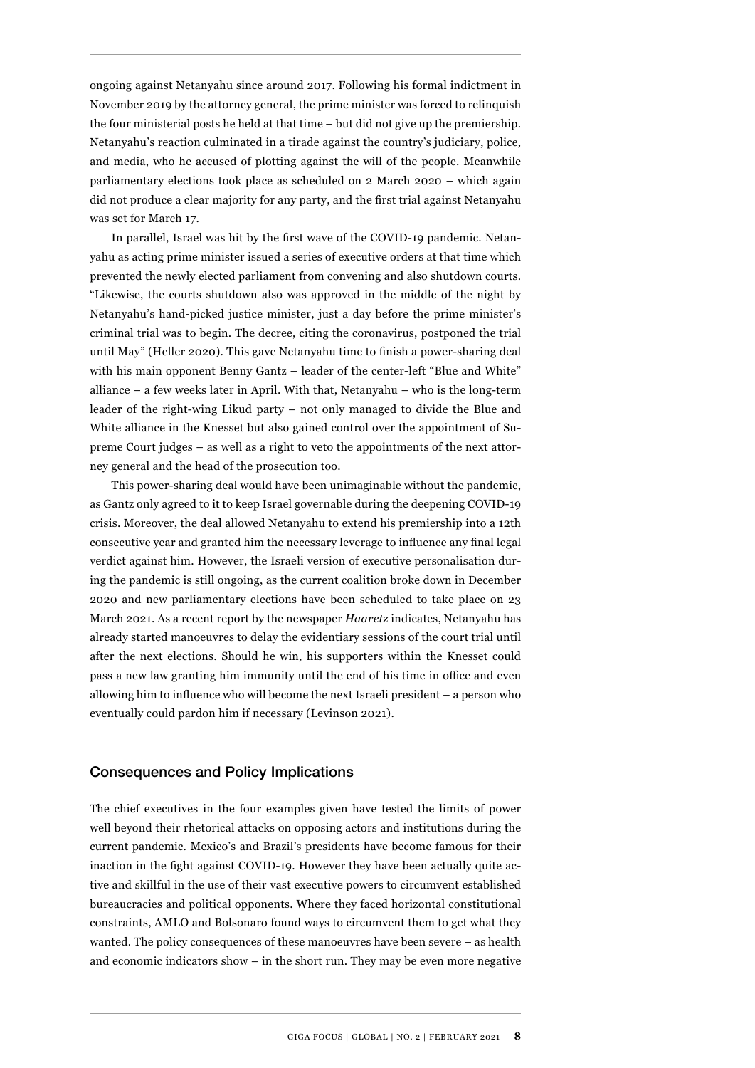ongoing against Netanyahu since around 2017. Following his formal indictment in November 2019 by the attorney general, the prime minister was forced to relinquish the four ministerial posts he held at that time – but did not give up the premiership. Netanyahu's reaction culminated in a tirade against the country's judiciary, police, and media, who he accused of plotting against the will of the people. Meanwhile parliamentary elections took place as scheduled on 2 March 2020 – which again did not produce a clear majority for any party, and the first trial against Netanyahu was set for March 17.

In parallel, Israel was hit by the first wave of the COVID-19 pandemic. Netanyahu as acting prime minister issued a series of executive orders at that time which prevented the newly elected parliament from convening and also shutdown courts. "Likewise, the courts shutdown also was approved in the middle of the night by Netanyahu's hand-picked justice minister, just a day before the prime minister's criminal trial was to begin. The decree, citing the coronavirus, postponed the trial until May" (Heller 2020). This gave Netanyahu time to finish a power-sharing deal with his main opponent Benny Gantz – leader of the center-left "Blue and White" alliance – a few weeks later in April. With that, Netanyahu – who is the long-term leader of the right-wing Likud party – not only managed to divide the Blue and White alliance in the Knesset but also gained control over the appointment of Supreme Court judges – as well as a right to veto the appointments of the next attorney general and the head of the prosecution too.

This power-sharing deal would have been unimaginable without the pandemic, as Gantz only agreed to it to keep Israel governable during the deepening COVID-19 crisis. Moreover, the deal allowed Netanyahu to extend his premiership into a 12th consecutive year and granted him the necessary leverage to influence any final legal verdict against him. However, the Israeli version of executive personalisation during the pandemic is still ongoing, as the current coalition broke down in December 2020 and new parliamentary elections have been scheduled to take place on 23 March 2021. As a recent report by the newspaper *Haaretz* indicates, Netanyahu has already started manoeuvres to delay the evidentiary sessions of the court trial until after the next elections. Should he win, his supporters within the Knesset could pass a new law granting him immunity until the end of his time in office and even allowing him to influence who will become the next Israeli president – a person who eventually could pardon him if necessary (Levinson 2021).

## Consequences and Policy Implications

The chief executives in the four examples given have tested the limits of power well beyond their rhetorical attacks on opposing actors and institutions during the current pandemic. Mexico's and Brazil's presidents have become famous for their inaction in the fight against COVID-19. However they have been actually quite active and skillful in the use of their vast executive powers to circumvent established bureaucracies and political opponents. Where they faced horizontal constitutional constraints, AMLO and Bolsonaro found ways to circumvent them to get what they wanted. The policy consequences of these manoeuvres have been severe – as health and economic indicators show – in the short run. They may be even more negative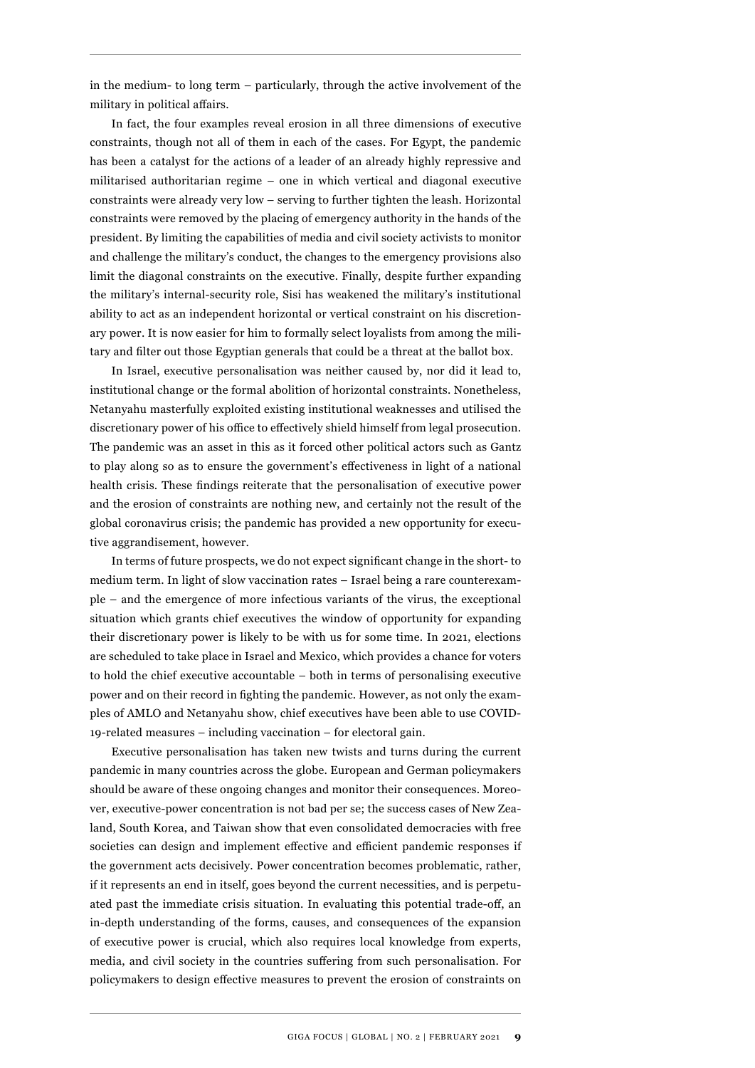in the medium- to long term – particularly, through the active involvement of the military in political affairs.

In fact, the four examples reveal erosion in all three dimensions of executive constraints, though not all of them in each of the cases. For Egypt, the pandemic has been a catalyst for the actions of a leader of an already highly repressive and militarised authoritarian regime – one in which vertical and diagonal executive constraints were already very low – serving to further tighten the leash. Horizontal constraints were removed by the placing of emergency authority in the hands of the president. By limiting the capabilities of media and civil society activists to monitor and challenge the military's conduct, the changes to the emergency provisions also limit the diagonal constraints on the executive. Finally, despite further expanding the military's internal-security role, Sisi has weakened the military's institutional ability to act as an independent horizontal or vertical constraint on his discretionary power. It is now easier for him to formally select loyalists from among the military and filter out those Egyptian generals that could be a threat at the ballot box.

In Israel, executive personalisation was neither caused by, nor did it lead to, institutional change or the formal abolition of horizontal constraints. Nonetheless, Netanyahu masterfully exploited existing institutional weaknesses and utilised the discretionary power of his office to effectively shield himself from legal prosecution. The pandemic was an asset in this as it forced other political actors such as Gantz to play along so as to ensure the government's effectiveness in light of a national health crisis. These findings reiterate that the personalisation of executive power and the erosion of constraints are nothing new, and certainly not the result of the global coronavirus crisis; the pandemic has provided a new opportunity for executive aggrandisement, however.

In terms of future prospects, we do not expect significant change in the short- to medium term. In light of slow vaccination rates – Israel being a rare counterexample – and the emergence of more infectious variants of the virus, the exceptional situation which grants chief executives the window of opportunity for expanding their discretionary power is likely to be with us for some time. In 2021, elections are scheduled to take place in Israel and Mexico, which provides a chance for voters to hold the chief executive accountable – both in terms of personalising executive power and on their record in fighting the pandemic. However, as not only the examples of AMLO and Netanyahu show, chief executives have been able to use COVID-19-related measures – including vaccination – for electoral gain.

Executive personalisation has taken new twists and turns during the current pandemic in many countries across the globe. European and German policymakers should be aware of these ongoing changes and monitor their consequences. Moreover, executive-power concentration is not bad per se; the success cases of New Zealand, South Korea, and Taiwan show that even consolidated democracies with free societies can design and implement effective and efficient pandemic responses if the government acts decisively. Power concentration becomes problematic, rather, if it represents an end in itself, goes beyond the current necessities, and is perpetuated past the immediate crisis situation. In evaluating this potential trade-off, an in-depth understanding of the forms, causes, and consequences of the expansion of executive power is crucial, which also requires local knowledge from experts, media, and civil society in the countries suffering from such personalisation. For policymakers to design effective measures to prevent the erosion of constraints on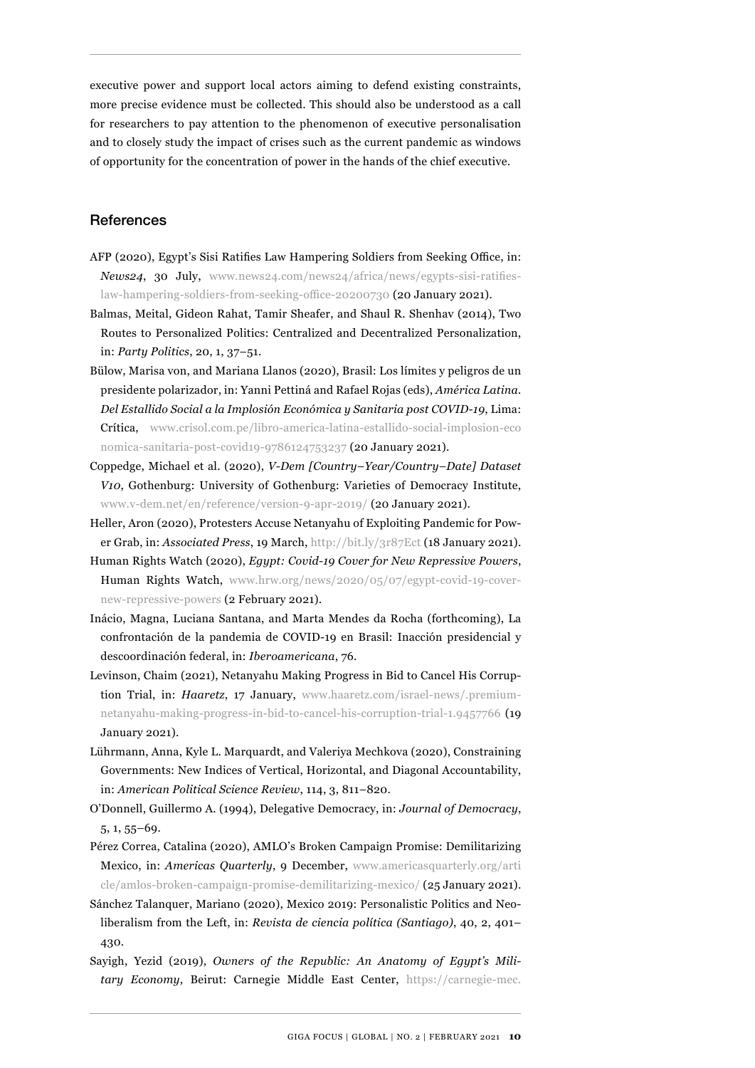executive power and support local actors aiming to defend existing constraints, more precise evidence must be collected. This should also be understood as a call for researchers to pay attention to the phenomenon of executive personalisation and to closely study the impact of crises such as the current pandemic as windows of opportunity for the concentration of power in the hands of the chief executive.

## **References**

- AFP (2020), Egypt's Sisi Ratifies Law Hampering Soldiers from Seeking Office, in: *News24*, 30 July, [www.news24.com/news24/africa/news/egypts-sisi-ratifies](http://www.news24.com/news24/africa/news/egypts-sisi-ratifies-law-hampering-soldiers-from-seeking-office-20200730)[law-hampering-soldiers-from-seeking-office-20200730](http://www.news24.com/news24/africa/news/egypts-sisi-ratifies-law-hampering-soldiers-from-seeking-office-20200730) (20 January 2021).
- Balmas, Meital, Gideon Rahat, Tamir Sheafer, and Shaul R. Shenhav (2014), Two Routes to Personalized Politics: Centralized and Decentralized Personalization, in: *Party Politics*, 20, 1, 37–51.
- Bülow, Marisa von, and Mariana Llanos (2020), Brasil: Los límites y peligros de un presidente polarizador, in: Yanni Pettiná and Rafael Rojas (eds), *América Latina. Del Estallido Social a la Implosión Económica y Sanitaria post COVID-19*, Lima: Crítica, [www.crisol.com.pe/libro-america-latina-estallido-social-implosion-eco](http://www.crisol.com.pe/libro-america-latina-estallido-social-implosion-economica-sanitaria-post-covid19-9786124753237) [nomica-sanitaria-post-covid19-9786124753237](http://www.crisol.com.pe/libro-america-latina-estallido-social-implosion-economica-sanitaria-post-covid19-9786124753237) (20 January 2021).
- Coppedge, Michael et al. (2020), *V-Dem [Country–Year/Country–Date] Dataset V10*, Gothenburg: University of Gothenburg: Varieties of Democracy Institute, [www.v-dem.net/en/reference/version-9-apr-2019/](http://www.v-dem.net/en/reference/version-9-apr-2019/) (20 January 2021).
- Heller, Aron (2020), Protesters Accuse Netanyahu of Exploiting Pandemic for Power Grab, in: *Associated Press*, 19 March,<http://bit.ly/3r87Ect> (18 January 2021).
- Human Rights Watch (2020), *Egypt: Covid-19 Cover for New Repressive Powers*, Human Rights Watch, [www.hrw.org/news/2020/05/07/egypt-covid-19-cover](http://www.hrw.org/news/2020/05/07/egypt-covid-19-cover-new-repressive-powers)[new-repressive-powers](http://www.hrw.org/news/2020/05/07/egypt-covid-19-cover-new-repressive-powers) (2 February 2021).
- Inácio, Magna, Luciana Santana, and Marta Mendes da Rocha (forthcoming), La confrontación de la pandemia de COVID-19 en Brasil: Inacción presidencial y descoordinación federal, in: *Iberoamericana*, 76.
- Levinson, Chaim (2021), Netanyahu Making Progress in Bid to Cancel His Corruption Trial, in: *Haaretz*, 17 January, [www.haaretz.com/israel-news/.premium](http://www.haaretz.com/israel-news/.premium-netanyahu-making-progress-in-bid-to-cancel-his-corruption-trial-1.9457766)[netanyahu-making-progress-in-bid-to-cancel-his-corruption-trial-1.9457766](http://www.haaretz.com/israel-news/.premium-netanyahu-making-progress-in-bid-to-cancel-his-corruption-trial-1.9457766) (19 January 2021).
- Lührmann, Anna, Kyle L. Marquardt, and Valeriya Mechkova (2020), Constraining Governments: New Indices of Vertical, Horizontal, and Diagonal Accountability, in: *American Political Science Review*, 114, 3, 811–820.
- O'Donnell, Guillermo A. (1994), Delegative Democracy, in: *Journal of Democracy*, 5, 1, 55–69.
- Pérez Correa, Catalina (2020), AMLO's Broken Campaign Promise: Demilitarizing Mexico, in: *Americas Quarterly*, 9 December, [www.americasquarterly.org/arti](http://www.americasquarterly.org/article/amlos-broken-campaign-promise-demilitarizing-mexico/) [cle/amlos-broken-campaign-promise-demilitarizing-mexico/](http://www.americasquarterly.org/article/amlos-broken-campaign-promise-demilitarizing-mexico/) (25 January 2021).
- Sánchez Talanquer, Mariano (2020), Mexico 2019: Personalistic Politics and Neoliberalism from the Left, in: *Revista de ciencia política (Santiago)*, 40, 2, 401– 430.
- Sayigh, Yezid (2019), *Owners of the Republic: An Anatomy of Egypt's Military Economy*, Beirut: Carnegie Middle East Center, [https://carnegie-mec.](https://carnegie-mec.org/2019/11/18/owners-of-republic-anatomy-of-egypt-s-military-economy-pub-80325)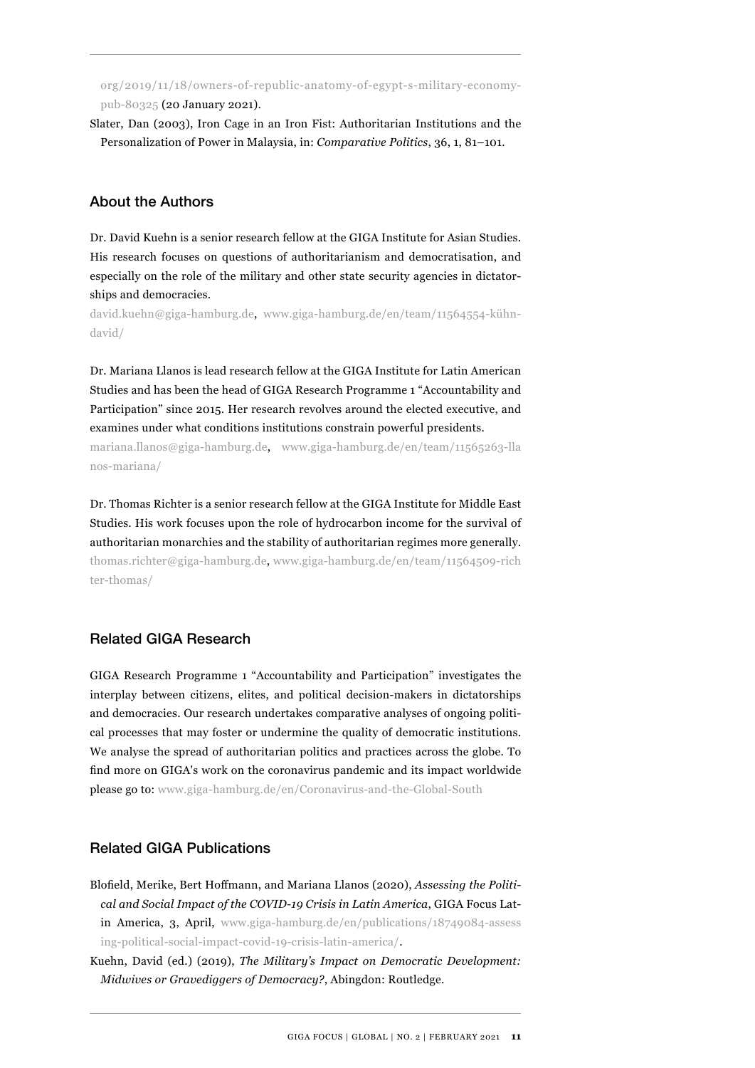[org/2019/11/18/owners-of-republic-anatomy-of-egypt-s-military-economy](https://carnegie-mec.org/2019/11/18/owners-of-republic-anatomy-of-egypt-s-military-economy-pub-80325)[pub-80325](https://carnegie-mec.org/2019/11/18/owners-of-republic-anatomy-of-egypt-s-military-economy-pub-80325) (20 January 2021).

Slater, Dan (2003), Iron Cage in an Iron Fist: Authoritarian Institutions and the Personalization of Power in Malaysia, in: *Comparative Politics*, 36, 1, 81–101.

## About the Authors

Dr. David Kuehn is a senior research fellow at the GIGA Institute for Asian Studies. His research focuses on questions of authoritarianism and democratisation, and especially on the role of the military and other state security agencies in dictatorships and democracies.

[david.kuehn@giga-hamburg.de](mailto:david.kuehn%40giga-hamburg.de?subject=), [www.giga-hamburg.de/en/team/11564554-kühn](http://www.giga-hamburg.de/en/team/11564554-kühn-david/)[david/](http://www.giga-hamburg.de/en/team/11564554-kühn-david/)

Dr. Mariana Llanos is lead research fellow at the GIGA Institute for Latin American Studies and has been the head of GIGA Research Programme 1 "Accountability and Participation" since 2015. Her research revolves around the elected executive, and examines under what conditions institutions constrain powerful presidents.

m[ariana.llanos@giga-hamburg.de](mailto:Mariana.Llanos%40giga-hamburg.de?subject=), [www.giga-hamburg.de/en/team/11565263-lla](http://www.giga-hamburg.de/en/team/11565263-llanos-mariana/) [nos-mariana/](http://www.giga-hamburg.de/en/team/11565263-llanos-mariana/)

Dr. Thomas Richter is a senior research fellow at the GIGA Institute for Middle East Studies. His work focuses upon the role of hydrocarbon income for the survival of authoritarian monarchies and the stability of authoritarian regimes more generally. [thomas.richter@giga-hamburg.de](mailto:thomas.richter%40giga-hamburg.de?subject=), [www.giga-hamburg.de/en/team/11564509-rich](http://www.giga-hamburg.de/en/team/11564509-richter-thomas/) [ter-thomas/](http://www.giga-hamburg.de/en/team/11564509-richter-thomas/)

## Related GIGA Research

GIGA Research Programme 1 "Accountability and Participation" investigates the interplay between citizens, elites, and political decision-makers in dictatorships and democracies. Our research undertakes comparative analyses of ongoing political processes that may foster or undermine the quality of democratic institutions. We analyse the spread of authoritarian politics and practices across the globe. To find more on GIGA's work on the coronavirus pandemic and its impact worldwide please go to: [www.giga-hamburg.de/en/Coronavirus-and-the-Global-South](http://www.giga-hamburg.de/en/Coronavirus-and-the-Global-South)

## Related GIGA Publications

Blofield, Merike, Bert Hoffmann, and Mariana Llanos (2020), *Assessing the Political and Social Impact of the COVID-19 Crisis in Latin America*, GIGA Focus Latin America, 3, April, [www.giga-hamburg.de/en/publications/18749084-assess](http://www.giga-hamburg.de/en/publications/18749084-assessing-political-social-impact-covid-19-crisis-latin-america/) [ing-political-social-impact-covid-19-crisis-latin-america/](http://www.giga-hamburg.de/en/publications/18749084-assessing-political-social-impact-covid-19-crisis-latin-america/).

Kuehn, David (ed.) (2019), *The Military's Impact on Democratic Development: Midwives or Gravediggers of Democracy?*, Abingdon: Routledge.